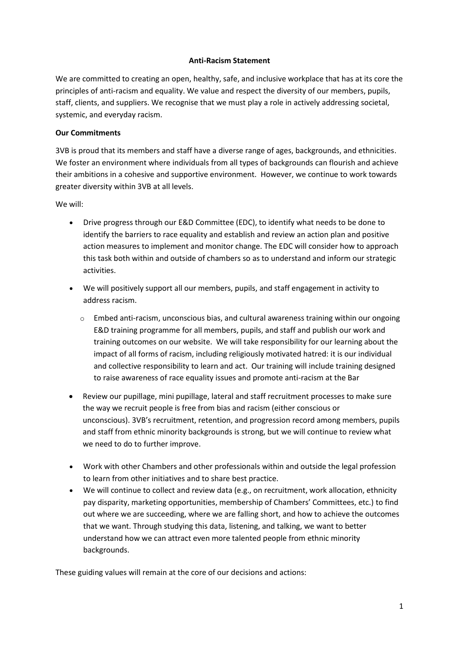## **Anti-Racism Statement**

We are committed to creating an open, healthy, safe, and inclusive workplace that has at its core the principles of anti-racism and equality. We value and respect the diversity of our members, pupils, staff, clients, and suppliers. We recognise that we must play a role in actively addressing societal, systemic, and everyday racism.

## **Our Commitments**

3VB is proud that its members and staff have a diverse range of ages, backgrounds, and ethnicities. We foster an environment where individuals from all types of backgrounds can flourish and achieve their ambitions in a cohesive and supportive environment. However, we continue to work towards greater diversity within 3VB at all levels.

We will:

- Drive progress through our E&D Committee (EDC), to identify what needs to be done to identify the barriers to race equality and establish and review an action plan and positive action measures to implement and monitor change. The EDC will consider how to approach this task both within and outside of chambers so as to understand and inform our strategic activities.
- We will positively support all our members, pupils, and staff engagement in activity to address racism.
	- $\circ$  Embed anti-racism, unconscious bias, and cultural awareness training within our ongoing E&D training programme for all members, pupils, and staff and publish our work and training outcomes on our website. We will take responsibility for our learning about the impact of all forms of racism, including religiously motivated hatred: it is our individual and collective responsibility to learn and act. Our training will include training designed to raise awareness of race equality issues and promote anti-racism at the Bar
- Review our pupillage, mini pupillage, lateral and staff recruitment processes to make sure the way we recruit people is free from bias and racism (either conscious or unconscious). 3VB's recruitment, retention, and progression record among members, pupils and staff from ethnic minority backgrounds is strong, but we will continue to review what we need to do to further improve.
- Work with other Chambers and other professionals within and outside the legal profession to learn from other initiatives and to share best practice.
- We will continue to collect and review data (e.g., on recruitment, work allocation, ethnicity pay disparity, marketing opportunities, membership of Chambers' Committees, etc.) to find out where we are succeeding, where we are falling short, and how to achieve the outcomes that we want. Through studying this data, listening, and talking, we want to better understand how we can attract even more talented people from ethnic minority backgrounds.

These guiding values will remain at the core of our decisions and actions: